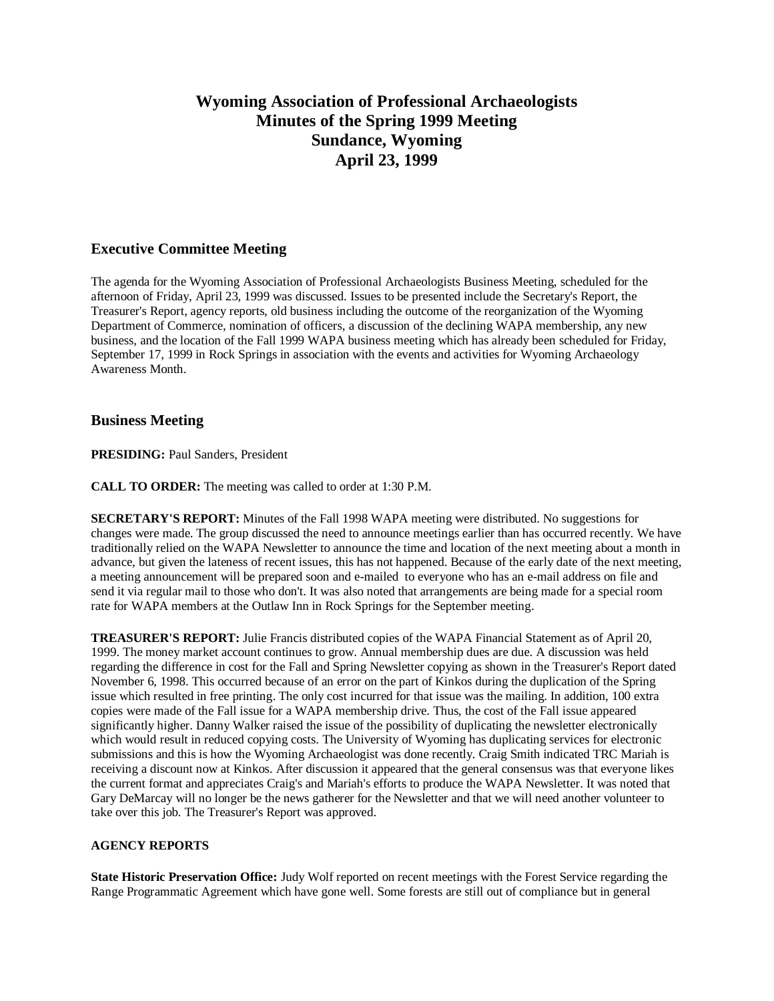# **Wyoming Association of Professional Archaeologists Minutes of the Spring 1999 Meeting Sundance, Wyoming April 23, 1999**

## **Executive Committee Meeting**

The agenda for the Wyoming Association of Professional Archaeologists Business Meeting, scheduled for the afternoon of Friday, April 23, 1999 was discussed. Issues to be presented include the Secretary's Report, the Treasurer's Report, agency reports, old business including the outcome of the reorganization of the Wyoming Department of Commerce, nomination of officers, a discussion of the declining WAPA membership, any new business, and the location of the Fall 1999 WAPA business meeting which has already been scheduled for Friday, September 17, 1999 in Rock Springs in association with the events and activities for Wyoming Archaeology Awareness Month.

### **Business Meeting**

**PRESIDING:** Paul Sanders, President

**CALL TO ORDER:** The meeting was called to order at 1:30 P.M.

**SECRETARY'S REPORT:** Minutes of the Fall 1998 WAPA meeting were distributed. No suggestions for changes were made. The group discussed the need to announce meetings earlier than has occurred recently. We have traditionally relied on the WAPA Newsletter to announce the time and location of the next meeting about a month in advance, but given the lateness of recent issues, this has not happened. Because of the early date of the next meeting, a meeting announcement will be prepared soon and e-mailed to everyone who has an e-mail address on file and send it via regular mail to those who don't. It was also noted that arrangements are being made for a special room rate for WAPA members at the Outlaw Inn in Rock Springs for the September meeting.

**TREASURER'S REPORT:** Julie Francis distributed copies of the WAPA Financial Statement as of April 20, 1999. The money market account continues to grow. Annual membership dues are due. A discussion was held regarding the difference in cost for the Fall and Spring Newsletter copying as shown in the Treasurer's Report dated November 6, 1998. This occurred because of an error on the part of Kinkos during the duplication of the Spring issue which resulted in free printing. The only cost incurred for that issue was the mailing. In addition, 100 extra copies were made of the Fall issue for a WAPA membership drive. Thus, the cost of the Fall issue appeared significantly higher. Danny Walker raised the issue of the possibility of duplicating the newsletter electronically which would result in reduced copying costs. The University of Wyoming has duplicating services for electronic submissions and this is how the Wyoming Archaeologist was done recently. Craig Smith indicated TRC Mariah is receiving a discount now at Kinkos. After discussion it appeared that the general consensus was that everyone likes the current format and appreciates Craig's and Mariah's efforts to produce the WAPA Newsletter. It was noted that Gary DeMarcay will no longer be the news gatherer for the Newsletter and that we will need another volunteer to take over this job. The Treasurer's Report was approved.

#### **AGENCY REPORTS**

**State Historic Preservation Office:** Judy Wolf reported on recent meetings with the Forest Service regarding the Range Programmatic Agreement which have gone well. Some forests are still out of compliance but in general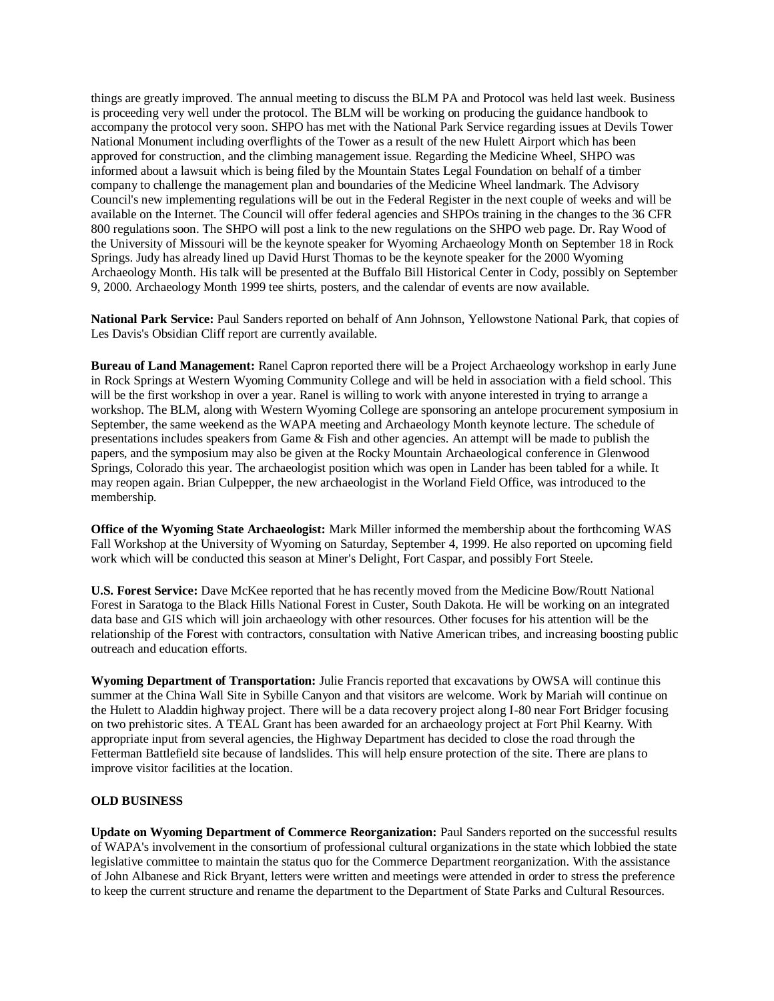things are greatly improved. The annual meeting to discuss the BLM PA and Protocol was held last week. Business is proceeding very well under the protocol. The BLM will be working on producing the guidance handbook to accompany the protocol very soon. SHPO has met with the National Park Service regarding issues at Devils Tower National Monument including overflights of the Tower as a result of the new Hulett Airport which has been approved for construction, and the climbing management issue. Regarding the Medicine Wheel, SHPO was informed about a lawsuit which is being filed by the Mountain States Legal Foundation on behalf of a timber company to challenge the management plan and boundaries of the Medicine Wheel landmark. The Advisory Council's new implementing regulations will be out in the Federal Register in the next couple of weeks and will be available on the Internet. The Council will offer federal agencies and SHPOs training in the changes to the 36 CFR 800 regulations soon. The SHPO will post a link to the new regulations on the SHPO web page. Dr. Ray Wood of the University of Missouri will be the keynote speaker for Wyoming Archaeology Month on September 18 in Rock Springs. Judy has already lined up David Hurst Thomas to be the keynote speaker for the 2000 Wyoming Archaeology Month. His talk will be presented at the Buffalo Bill Historical Center in Cody, possibly on September 9, 2000. Archaeology Month 1999 tee shirts, posters, and the calendar of events are now available.

**National Park Service:** Paul Sanders reported on behalf of Ann Johnson, Yellowstone National Park, that copies of Les Davis's Obsidian Cliff report are currently available.

**Bureau of Land Management:** Ranel Capron reported there will be a Project Archaeology workshop in early June in Rock Springs at Western Wyoming Community College and will be held in association with a field school. This will be the first workshop in over a year. Ranel is willing to work with anyone interested in trying to arrange a workshop. The BLM, along with Western Wyoming College are sponsoring an antelope procurement symposium in September, the same weekend as the WAPA meeting and Archaeology Month keynote lecture. The schedule of presentations includes speakers from Game & Fish and other agencies. An attempt will be made to publish the papers, and the symposium may also be given at the Rocky Mountain Archaeological conference in Glenwood Springs, Colorado this year. The archaeologist position which was open in Lander has been tabled for a while. It may reopen again. Brian Culpepper, the new archaeologist in the Worland Field Office, was introduced to the membership.

**Office of the Wyoming State Archaeologist:** Mark Miller informed the membership about the forthcoming WAS Fall Workshop at the University of Wyoming on Saturday, September 4, 1999. He also reported on upcoming field work which will be conducted this season at Miner's Delight, Fort Caspar, and possibly Fort Steele.

**U.S. Forest Service:** Dave McKee reported that he has recently moved from the Medicine Bow/Routt National Forest in Saratoga to the Black Hills National Forest in Custer, South Dakota. He will be working on an integrated data base and GIS which will join archaeology with other resources. Other focuses for his attention will be the relationship of the Forest with contractors, consultation with Native American tribes, and increasing boosting public outreach and education efforts.

**Wyoming Department of Transportation:** Julie Francis reported that excavations by OWSA will continue this summer at the China Wall Site in Sybille Canyon and that visitors are welcome. Work by Mariah will continue on the Hulett to Aladdin highway project. There will be a data recovery project along I-80 near Fort Bridger focusing on two prehistoric sites. A TEAL Grant has been awarded for an archaeology project at Fort Phil Kearny. With appropriate input from several agencies, the Highway Department has decided to close the road through the Fetterman Battlefield site because of landslides. This will help ensure protection of the site. There are plans to improve visitor facilities at the location.

#### **OLD BUSINESS**

**Update on Wyoming Department of Commerce Reorganization:** Paul Sanders reported on the successful results of WAPA's involvement in the consortium of professional cultural organizations in the state which lobbied the state legislative committee to maintain the status quo for the Commerce Department reorganization. With the assistance of John Albanese and Rick Bryant, letters were written and meetings were attended in order to stress the preference to keep the current structure and rename the department to the Department of State Parks and Cultural Resources.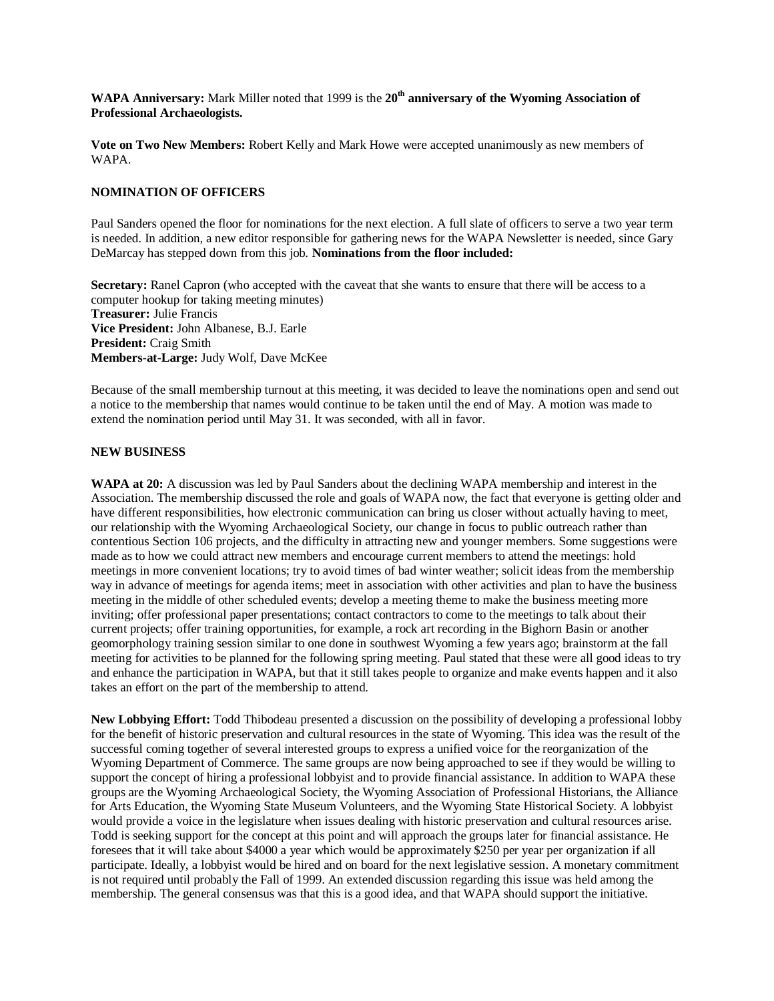**WAPA Anniversary:** Mark Miller noted that 1999 is the **20th anniversary of the Wyoming Association of Professional Archaeologists.**

**Vote on Two New Members:** Robert Kelly and Mark Howe were accepted unanimously as new members of WAPA.

#### **NOMINATION OF OFFICERS**

Paul Sanders opened the floor for nominations for the next election. A full slate of officers to serve a two year term is needed. In addition, a new editor responsible for gathering news for the WAPA Newsletter is needed, since Gary DeMarcay has stepped down from this job. **Nominations from the floor included:**

**Secretary:** Ranel Capron (who accepted with the caveat that she wants to ensure that there will be access to a computer hookup for taking meeting minutes) **Treasurer:** Julie Francis **Vice President:** John Albanese, B.J. Earle **President:** Craig Smith **Members-at-Large:** Judy Wolf, Dave McKee

Because of the small membership turnout at this meeting, it was decided to leave the nominations open and send out a notice to the membership that names would continue to be taken until the end of May. A motion was made to extend the nomination period until May 31. It was seconded, with all in favor.

#### **NEW BUSINESS**

**WAPA at 20:** A discussion was led by Paul Sanders about the declining WAPA membership and interest in the Association. The membership discussed the role and goals of WAPA now, the fact that everyone is getting older and have different responsibilities, how electronic communication can bring us closer without actually having to meet, our relationship with the Wyoming Archaeological Society, our change in focus to public outreach rather than contentious Section 106 projects, and the difficulty in attracting new and younger members. Some suggestions were made as to how we could attract new members and encourage current members to attend the meetings: hold meetings in more convenient locations; try to avoid times of bad winter weather; solicit ideas from the membership way in advance of meetings for agenda items; meet in association with other activities and plan to have the business meeting in the middle of other scheduled events; develop a meeting theme to make the business meeting more inviting; offer professional paper presentations; contact contractors to come to the meetings to talk about their current projects; offer training opportunities, for example, a rock art recording in the Bighorn Basin or another geomorphology training session similar to one done in southwest Wyoming a few years ago; brainstorm at the fall meeting for activities to be planned for the following spring meeting. Paul stated that these were all good ideas to try and enhance the participation in WAPA, but that it still takes people to organize and make events happen and it also takes an effort on the part of the membership to attend.

**New Lobbying Effort:** Todd Thibodeau presented a discussion on the possibility of developing a professional lobby for the benefit of historic preservation and cultural resources in the state of Wyoming. This idea was the result of the successful coming together of several interested groups to express a unified voice for the reorganization of the Wyoming Department of Commerce. The same groups are now being approached to see if they would be willing to support the concept of hiring a professional lobbyist and to provide financial assistance. In addition to WAPA these groups are the Wyoming Archaeological Society, the Wyoming Association of Professional Historians, the Alliance for Arts Education, the Wyoming State Museum Volunteers, and the Wyoming State Historical Society. A lobbyist would provide a voice in the legislature when issues dealing with historic preservation and cultural resources arise. Todd is seeking support for the concept at this point and will approach the groups later for financial assistance. He foresees that it will take about \$4000 a year which would be approximately \$250 per year per organization if all participate. Ideally, a lobbyist would be hired and on board for the next legislative session. A monetary commitment is not required until probably the Fall of 1999. An extended discussion regarding this issue was held among the membership. The general consensus was that this is a good idea, and that WAPA should support the initiative.